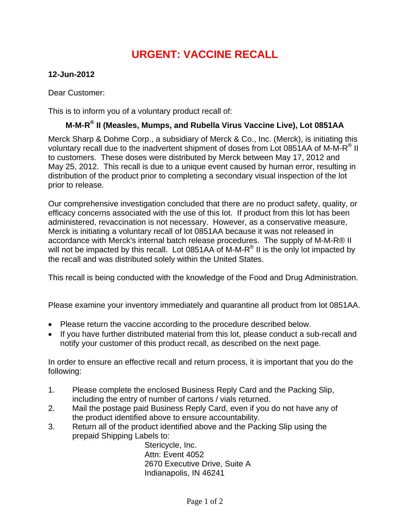## **URGENT: VACCINE RECALL**

## **12-Jun-2012**

Dear Customer:

This is to inform you of a voluntary product recall of:

## **M-M-R® II (Measles, Mumps, and Rubella Virus Vaccine Live), Lot 0851AA**

Merck Sharp & Dohme Corp., a subsidiary of Merck & Co., Inc. (Merck), is initiating this voluntary recall due to the inadvertent shipment of doses from Lot 0851AA of M-M-R<sup>®</sup> II to customers. These doses were distributed by Merck between May 17, 2012 and May 25, 2012. This recall is due to a unique event caused by human error, resulting in distribution of the product prior to completing a secondary visual inspection of the lot prior to release.

Our comprehensive investigation concluded that there are no product safety, quality, or efficacy concerns associated with the use of this lot. If product from this lot has been administered, revaccination is not necessary. However, as a conservative measure, Merck is initiating a voluntary recall of lot 0851AA because it was not released in accordance with Merck's internal batch release procedures. The supply of M-M-R® II will not be impacted by this recall. Lot 0851AA of M-M-R<sup>®</sup> II is the only lot impacted by the recall and was distributed solely within the United States.

This recall is being conducted with the knowledge of the Food and Drug Administration.

Please examine your inventory immediately and quarantine all product from lot 0851AA.

- Please return the vaccine according to the procedure described below.
- If you have further distributed material from this lot, please conduct a sub-recall and notify your customer of this product recall, as described on the next page.

In order to ensure an effective recall and return process, it is important that you do the following:

- 1. Please complete the enclosed Business Reply Card and the Packing Slip, including the entry of number of cartons / vials returned.
- 2. Mail the postage paid Business Reply Card, even if you do not have any of the product identified above to ensure accountability.
- 3. Return all of the product identified above and the Packing Slip using the prepaid Shipping Labels to:

Stericycle, Inc. Attn: Event 4052 2670 Executive Drive, Suite A Indianapolis, IN 46241